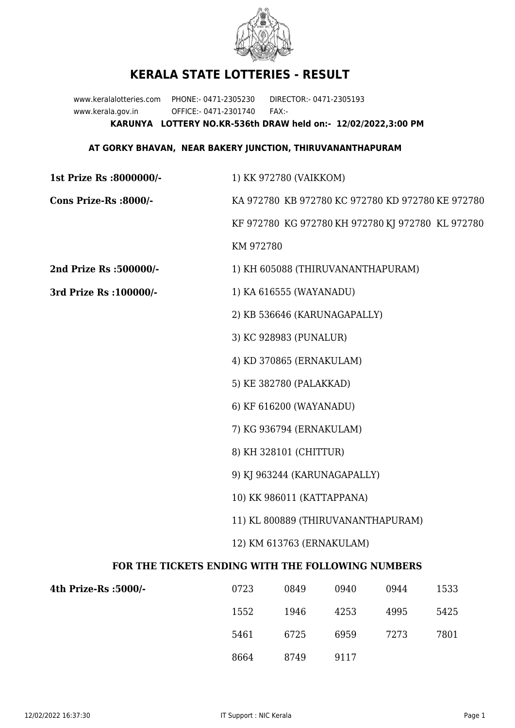

## **KERALA STATE LOTTERIES - RESULT**

www.keralalotteries.com PHONE:- 0471-2305230 DIRECTOR:- 0471-2305193 www.kerala.gov.in OFFICE:- 0471-2301740 FAX:- **KARUNYA LOTTERY NO.KR-536th DRAW held on:- 12/02/2022,3:00 PM**

## **AT GORKY BHAVAN, NEAR BAKERY JUNCTION, THIRUVANANTHAPURAM**

| 1st Prize Rs :8000000/-                           | 1) KK 972780 (VAIKKOM)                                                                                                                                 |                                   |      |      |                                                   |
|---------------------------------------------------|--------------------------------------------------------------------------------------------------------------------------------------------------------|-----------------------------------|------|------|---------------------------------------------------|
| Cons Prize-Rs :8000/-                             | KA 972780 KB 972780 KC 972780 KD 972780 KE 972780                                                                                                      |                                   |      |      |                                                   |
|                                                   |                                                                                                                                                        |                                   |      |      | KF 972780 KG 972780 KH 972780 KJ 972780 KL 972780 |
|                                                   | KM 972780                                                                                                                                              |                                   |      |      |                                                   |
| 2nd Prize Rs :500000/-                            |                                                                                                                                                        | 1) KH 605088 (THIRUVANANTHAPURAM) |      |      |                                                   |
| 3rd Prize Rs : 100000/-                           | 1) KA 616555 (WAYANADU)                                                                                                                                |                                   |      |      |                                                   |
|                                                   | 2) KB 536646 (KARUNAGAPALLY)                                                                                                                           |                                   |      |      |                                                   |
|                                                   | 3) KC 928983 (PUNALUR)                                                                                                                                 |                                   |      |      |                                                   |
|                                                   | 4) KD 370865 (ERNAKULAM)                                                                                                                               |                                   |      |      |                                                   |
|                                                   |                                                                                                                                                        | 5) KE 382780 (PALAKKAD)           |      |      |                                                   |
|                                                   |                                                                                                                                                        | 6) KF 616200 (WAYANADU)           |      |      |                                                   |
|                                                   | 7) KG 936794 (ERNAKULAM)<br>8) KH 328101 (CHITTUR)<br>9) KJ 963244 (KARUNAGAPALLY)<br>10) KK 986011 (KATTAPPANA)<br>11) KL 800889 (THIRUVANANTHAPURAM) |                                   |      |      |                                                   |
|                                                   |                                                                                                                                                        |                                   |      |      |                                                   |
|                                                   |                                                                                                                                                        |                                   |      |      |                                                   |
|                                                   |                                                                                                                                                        |                                   |      |      |                                                   |
|                                                   |                                                                                                                                                        |                                   |      |      |                                                   |
|                                                   | 12) KM 613763 (ERNAKULAM)                                                                                                                              |                                   |      |      |                                                   |
| FOR THE TICKETS ENDING WITH THE FOLLOWING NUMBERS |                                                                                                                                                        |                                   |      |      |                                                   |
| 4th Prize-Rs : 5000/-                             | 0723                                                                                                                                                   | 0849                              | 0940 | 0944 | 1533                                              |
|                                                   | 1552                                                                                                                                                   | 1946                              | 4253 | 4995 | 5425                                              |

| 5461 | 6725 | 6959 | 7273 | 7801 |
|------|------|------|------|------|
| 8664 | 8749 | 9117 |      |      |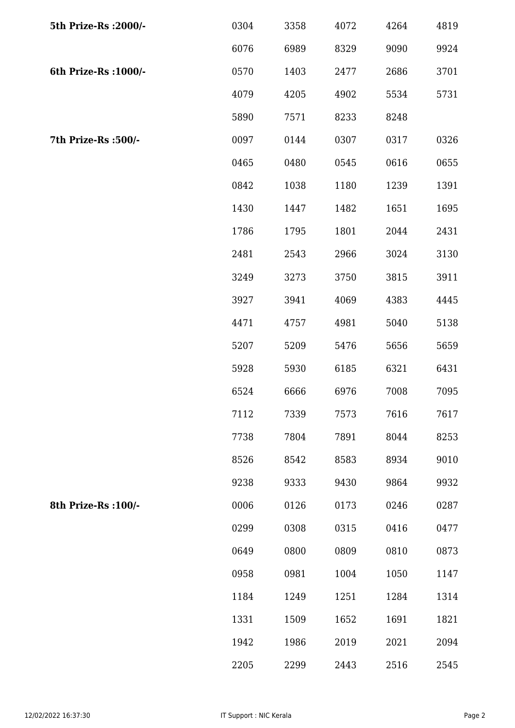| 5th Prize-Rs : 2000/- | 0304 | 3358 | 4072 | 4264 | 4819 |
|-----------------------|------|------|------|------|------|
|                       | 6076 | 6989 | 8329 | 9090 | 9924 |
| 6th Prize-Rs : 1000/- | 0570 | 1403 | 2477 | 2686 | 3701 |
|                       | 4079 | 4205 | 4902 | 5534 | 5731 |
|                       | 5890 | 7571 | 8233 | 8248 |      |
| 7th Prize-Rs :500/-   | 0097 | 0144 | 0307 | 0317 | 0326 |
|                       | 0465 | 0480 | 0545 | 0616 | 0655 |
|                       | 0842 | 1038 | 1180 | 1239 | 1391 |
|                       | 1430 | 1447 | 1482 | 1651 | 1695 |
|                       | 1786 | 1795 | 1801 | 2044 | 2431 |
|                       | 2481 | 2543 | 2966 | 3024 | 3130 |
|                       | 3249 | 3273 | 3750 | 3815 | 3911 |
|                       | 3927 | 3941 | 4069 | 4383 | 4445 |
|                       | 4471 | 4757 | 4981 | 5040 | 5138 |
|                       | 5207 | 5209 | 5476 | 5656 | 5659 |
|                       | 5928 | 5930 | 6185 | 6321 | 6431 |
|                       | 6524 | 6666 | 6976 | 7008 | 7095 |
|                       | 7112 | 7339 | 7573 | 7616 | 7617 |
|                       | 7738 | 7804 | 7891 | 8044 | 8253 |
|                       | 8526 | 8542 | 8583 | 8934 | 9010 |
|                       | 9238 | 9333 | 9430 | 9864 | 9932 |
| 8th Prize-Rs : 100/-  | 0006 | 0126 | 0173 | 0246 | 0287 |
|                       | 0299 | 0308 | 0315 | 0416 | 0477 |
|                       | 0649 | 0800 | 0809 | 0810 | 0873 |
|                       | 0958 | 0981 | 1004 | 1050 | 1147 |
|                       | 1184 | 1249 | 1251 | 1284 | 1314 |
|                       | 1331 | 1509 | 1652 | 1691 | 1821 |
|                       | 1942 | 1986 | 2019 | 2021 | 2094 |
|                       | 2205 | 2299 | 2443 | 2516 | 2545 |